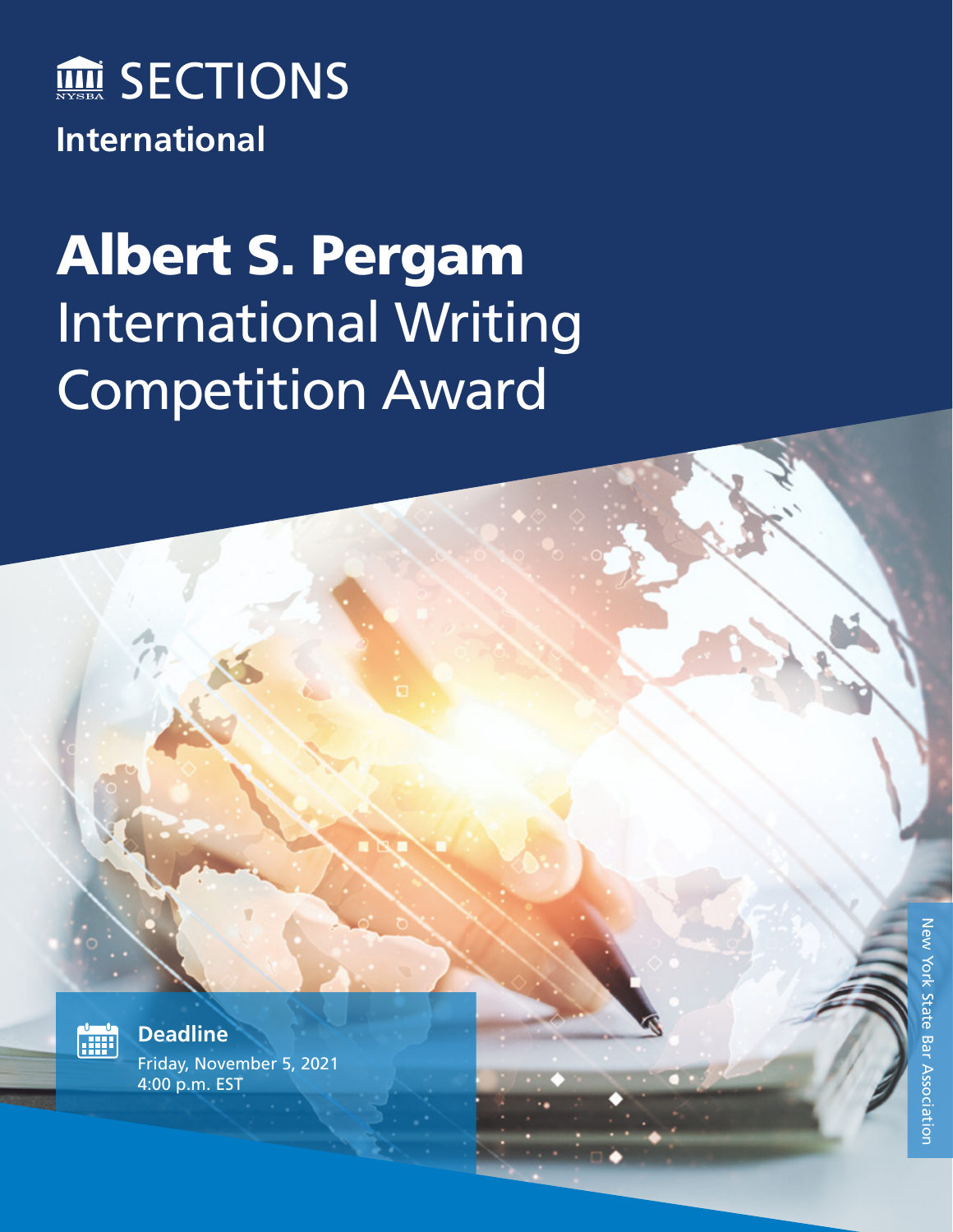

## Albert S. Pergam International Writing Competition Award



**Deadline** Friday, November 5, 2021 4:00 p.m. EST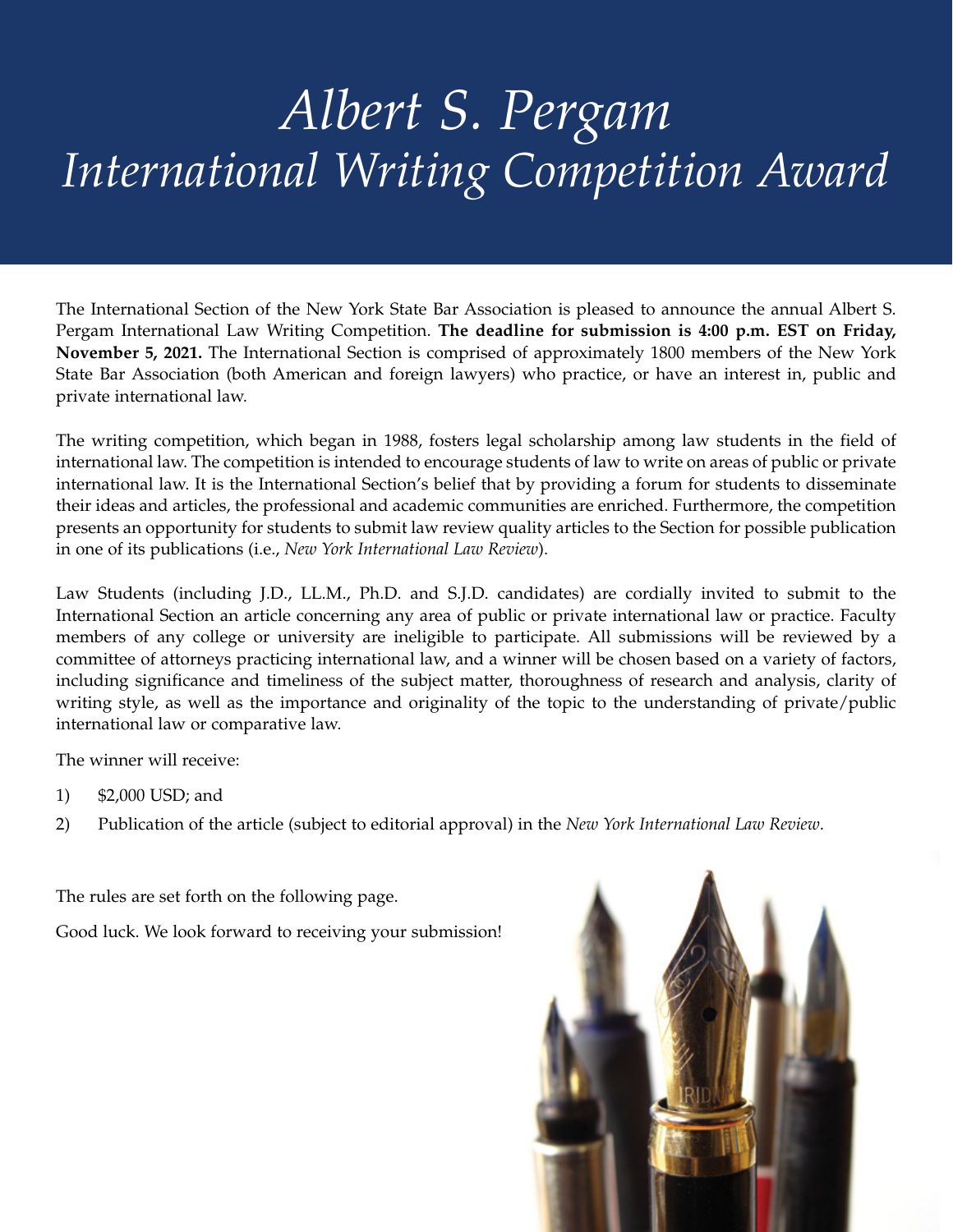## *Albert S. Pergam International Writing Competition Award*

The International Section of the New York State Bar Association is pleased to announce the annual Albert S. Pergam International Law Writing Competition. **The deadline for submission is 4:00 p.m. EST on Friday, November 5, 2021.** The International Section is comprised of approximately 1800 members of the New York State Bar Association (both American and foreign lawyers) who practice, or have an interest in, public and private international law.

The writing competition, which began in 1988, fosters legal scholarship among law students in the field of international law. The competition is intended to encourage students of law to write on areas of public or private international law. It is the International Section's belief that by providing a forum for students to disseminate their ideas and articles, the professional and academic communities are enriched. Furthermore, the competition presents an opportunity for students to submit law review quality articles to the Section for possible publication in one of its publications (i.e., *New York International Law Review*).

Law Students (including J.D., LL.M., Ph.D. and S.J.D. candidates) are cordially invited to submit to the International Section an article concerning any area of public or private international law or practice. Faculty members of any college or university are ineligible to participate. All submissions will be reviewed by a committee of attorneys practicing international law, and a winner will be chosen based on a variety of factors, including significance and timeliness of the subject matter, thoroughness of research and analysis, clarity of writing style, as well as the importance and originality of the topic to the understanding of private/public international law or comparative law.

The winner will receive:

- 1) \$2,000 USD; and
- 2) Publication of the article (subject to editorial approval) in the *New York International Law Review*.

The rules are set forth on the following page.

Good luck. We look forward to receiving your submission!

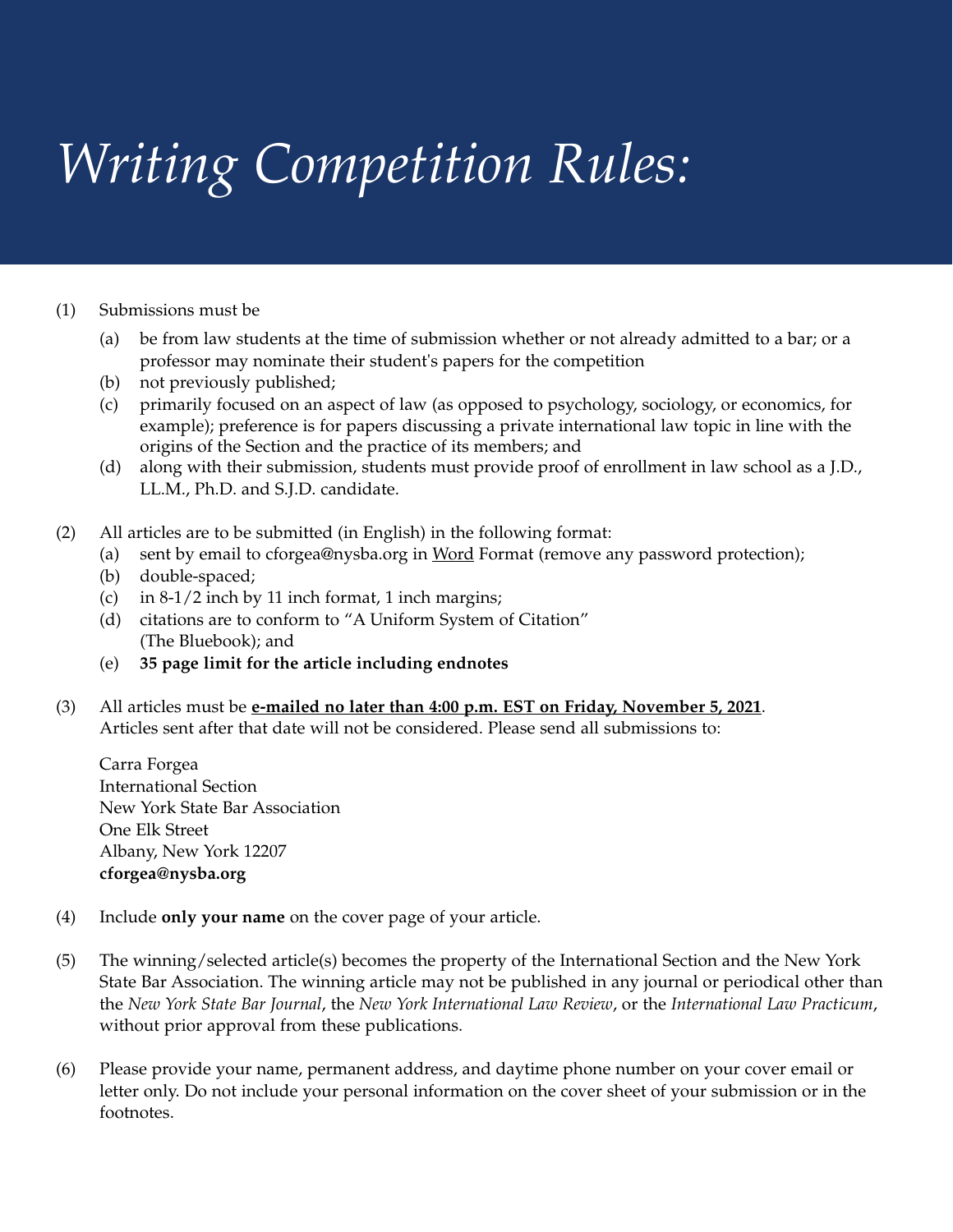## *Writing Competition Rules:*

## (1) Submissions must be

- (a) be from law students at the time of submission whether or not already admitted to a bar; or a professor may nominate their student's papers for the competition
- (b) not previously published;
- (c) primarily focused on an aspect of law (as opposed to psychology, sociology, or economics, for example); preference is for papers discussing a private international law topic in line with the origins of the Section and the practice of its members; and
- (d) along with their submission, students must provide proof of enrollment in law school as a J.D., LL.M., Ph.D. and S.J.D. candidate.
- (2) All articles are to be submitted (in English) in the following format:
	- (a) sent by email to cforgea@nysba.org in Word Format (remove any password protection);
	- (b) double-spaced;
	- (c) in 8-1/2 inch by 11 inch format, 1 inch margins;
	- (d) citations are to conform to "A Uniform System of Citation" (The Bluebook); and
	- (e) **35 page limit for the article including endnotes**
- (3) All articles must be **e-mailed no later than 4:00 p.m. EST on Friday, November 5, 2021**. Articles sent after that date will not be considered. Please send all submissions to:

Carra Forgea International Section New York State Bar Association One Elk Street Albany, New York 12207 **cforgea@nysba.org**

- (4) Include **only your name** on the cover page of your article.
- (5) The winning/selected article(s) becomes the property of the International Section and the New York State Bar Association. The winning article may not be published in any journal or periodical other than the *New York State Bar Journal*, the *New York International Law Review*, or the *International Law Practicum*, without prior approval from these publications.
- (6) Please provide your name, permanent address, and daytime phone number on your cover email or letter only. Do not include your personal information on the cover sheet of your submission or in the footnotes.